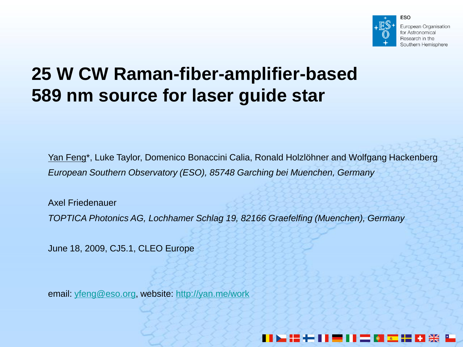

European Organisation for Astronomical Research in the Southern Hemisphere

### **25 W CW Raman-fiber-amplifier-based 589 nm source for laser guide star**

Yan Feng\*, Luke Taylor, Domenico Bonaccini Calia, Ronald Holzlöhner and Wolfgang Hackenberg *European Southern Observatory (ESO), 85748 Garching bei Muenchen, Germany*

Axel Friedenauer *TOPTICA Photonics AG, Lochhamer Schlag 19, 82166 Graefelfing (Muenchen), Germany*

June 18, 2009, CJ5.1, CLEO Europe

email: [yfeng@eso.org](mailto:yfeng@eso.org), website:<http://yan.me/work>

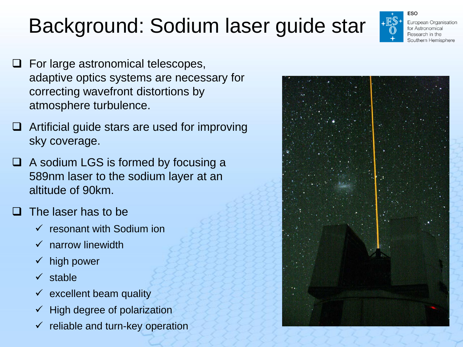# Background: Sodium laser guide star

- $\Box$  For large astronomical telescopes, adaptive optics systems are necessary for correcting wavefront distortions by atmosphere turbulence.
- $\Box$  Artificial guide stars are used for improving sky coverage.
- $\Box$  A sodium LGS is formed by focusing a 589nm laser to the sodium layer at an altitude of 90km.
- The laser has to be
	- $\checkmark$  resonant with Sodium ion
	- $\checkmark$  narrow linewidth
	- $\checkmark$  high power
	- $\checkmark$  stable
	- $\times$  excellent beam quality
	- $\checkmark$  High degree of polarization
	- $\checkmark$  reliable and turn-key operation



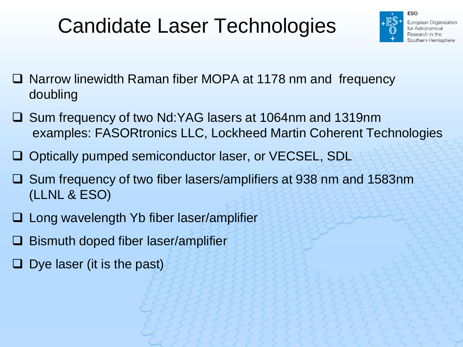# Candidate Laser Technologies



- □ Narrow linewidth Raman fiber MOPA at 1178 nm and frequency doubling
- Sum frequency of two Nd:YAG lasers at 1064nm and 1319nm examples: FASORtronics LLC, Lockheed Martin Coherent Technologies
- □ Optically pumped semiconductor laser, or VECSEL, SDL
- Sum frequency of two fiber lasers/amplifiers at 938 nm and 1583nm (LLNL & ESO)
- Long wavelength Yb fiber laser/amplifier
- Bismuth doped fiber laser/amplifier
- $\Box$  Dye laser (it is the past)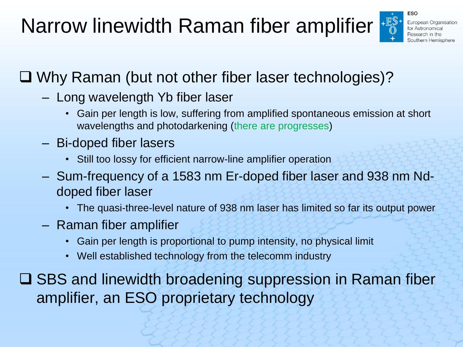Narrow linewidth Raman fiber amplifier



#### Why Raman (but not other fiber laser technologies)?

- Long wavelength Yb fiber laser
	- Gain per length is low, suffering from amplified spontaneous emission at short wavelengths and photodarkening (there are progresses)
- Bi-doped fiber lasers
	- Still too lossy for efficient narrow-line amplifier operation
- Sum-frequency of a 1583 nm Er-doped fiber laser and 938 nm Nddoped fiber laser
	- The quasi-three-level nature of 938 nm laser has limited so far its output power
- Raman fiber amplifier
	- Gain per length is proportional to pump intensity, no physical limit
	- Well established technology from the telecomm industry

**□ SBS and linewidth broadening suppression in Raman fiber** amplifier, an ESO proprietary technology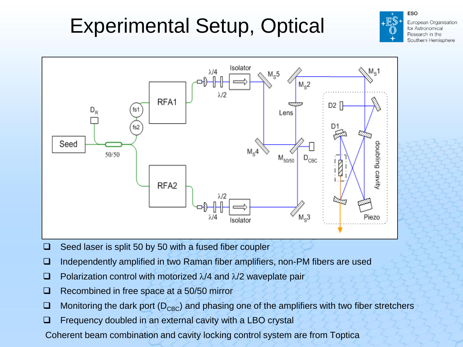# Experimental Setup, Optical



- $\Box$  Seed laser is split 50 by 50 with a fused fiber coupler
- Independently amplified in two Raman fiber amplifiers, non-PM fibers are used
- **D** Polarization control with motorized  $\lambda$ /4 and  $\lambda$ /2 waveplate pair
- $\Box$  Recombined in free space at a 50/50 mirror
- $\Box$  Monitoring the dark port ( $D_{CBC}$ ) and phasing one of the amplifiers with two fiber stretchers
- $\Box$  Frequency doubled in an external cavity with a LBO crystal

Coherent beam combination and cavity locking control system are from Toptica

**ESO**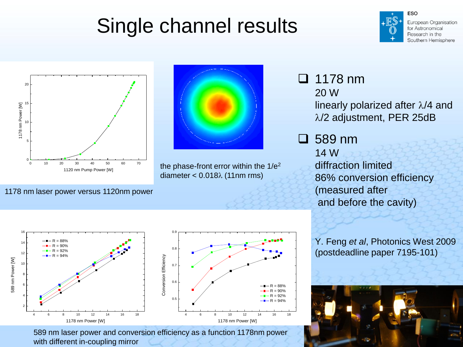# Single channel results



European Organisation for Astronomical Research in the Southern Hemisphere





the phase-front error within the  $1/e^2$ diameter  $< 0.018\lambda$  (11nm rms)

 $\Box$  1178 nm 20 W linearly polarized after  $\lambda$ /4 and  $\lambda$ /2 adjustment, PER 25dB

 589 nm 14 W diffraction limited 86% conversion efficiency (measured after and before the cavity)

Y. Feng *et al*, Photonics West 2009 (postdeadline paper 7195-101)



1178 nm laser power versus 1120nm power



589 nm laser power and conversion efficiency as a function 1178nm power with different in-coupling mirror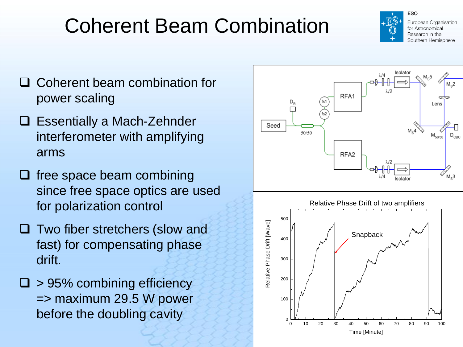# Coherent Beam Combination



European Organisation for Astronomical Research in the Southern Hemisphere

- □ Coherent beam combination for power scaling
- □ Essentially a Mach-Zehnder interferometer with amplifying arms
- $\Box$  free space beam combining since free space optics are used for polarization control
- $\Box$  Two fiber stretchers (slow and fast) for compensating phase drift.
- $\Box$  > 95% combining efficiency => maximum 29.5 W power before the doubling cavity



0 10 20 30 40 50 60 70 80 90 100

Time [Minute]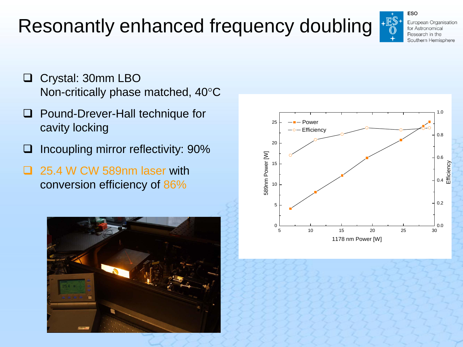### Resonantly enhanced frequency doubling



 Crystal: 30mm LBO Non-critically phase matched, 40°C

- □ Pound-Drever-Hall technique for cavity locking
- $\Box$  Incoupling mirror reflectivity: 90%
- 25.4 W CW 589nm laser with conversion efficiency of 86%



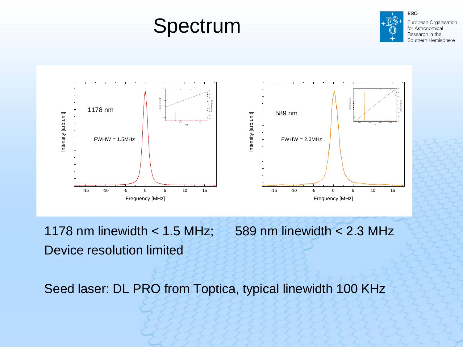### Spectrum



European Organisation for Astronomical Research in the Southern Hemisphere



1178 nm linewidth  $< 1.5$  MHz; 589 nm linewidth  $< 2.3$  MHz Device resolution limited

Seed laser: DL PRO from Toptica, typical linewidth 100 KHz

**ESO**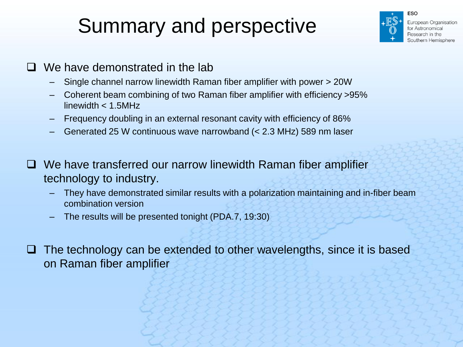# Summary and perspective



- $\Box$  We have demonstrated in the lab
	- Single channel narrow linewidth Raman fiber amplifier with power > 20W
	- Coherent beam combining of two Raman fiber amplifier with efficiency >95% linewidth < 1.5MHz
	- Frequency doubling in an external resonant cavity with efficiency of 86%
	- Generated 25 W continuous wave narrowband (< 2.3 MHz) 589 nm laser
- □ We have transferred our narrow linewidth Raman fiber amplifier technology to industry.
	- They have demonstrated similar results with a polarization maintaining and in-fiber beam combination version
	- The results will be presented tonight (PDA.7, 19:30)
- $\Box$  The technology can be extended to other wavelengths, since it is based on Raman fiber amplifier